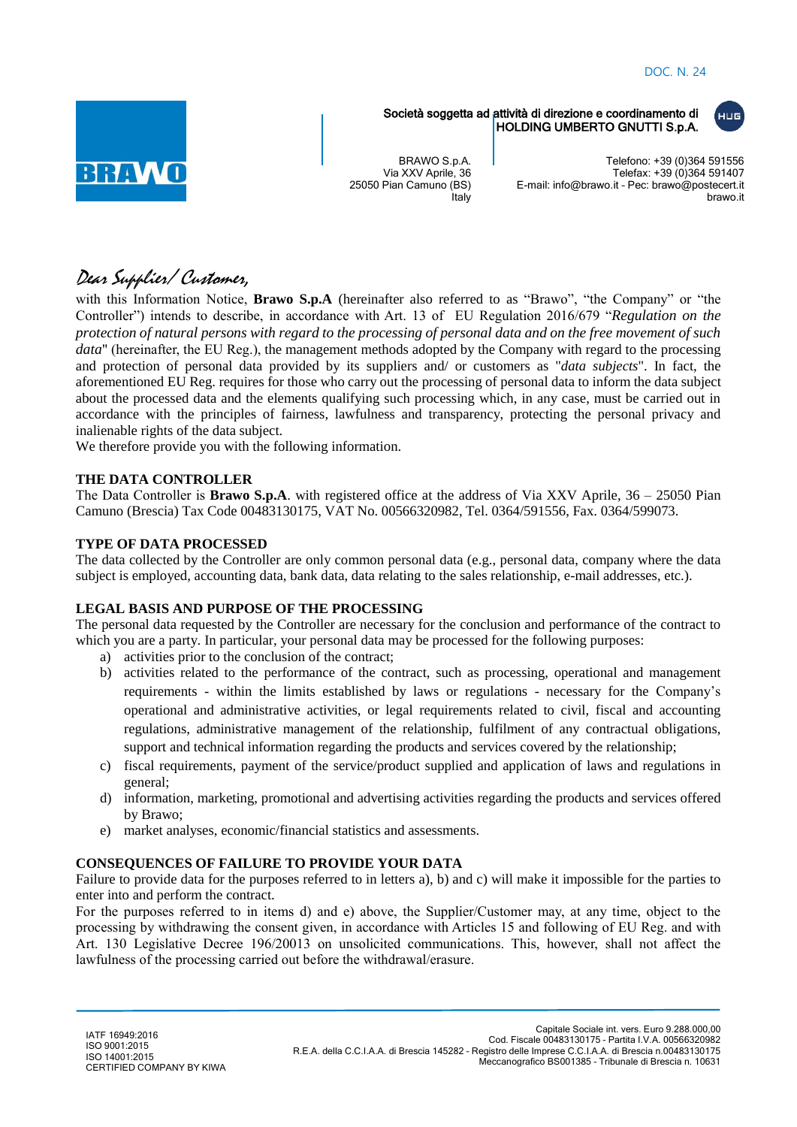luus.



Società soggetta ad attività di direzione e coordinamento di HOLDING UMBERTO GNUTTI S.p.A.

BRAWO S.p.A. Via XXV Aprile, 36 25050 Pian Camuno (BS) **Italy** 

Telefono: +39 (0)364 591556 Telefax: +39 (0)364 591407 E-mail: info@brawo.it – Pec: brawo@postecert.it brawo.it

# Dear Supplier/ Customer,

with this Information Notice, **Brawo S.p.A** (hereinafter also referred to as "Brawo", "the Company" or "the Controller") intends to describe, in accordance with Art. 13 of EU Regulation 2016/679 "*Regulation on the protection of natural persons with regard to the processing of personal data and on the free movement of such data*" (hereinafter, the EU Reg.), the management methods adopted by the Company with regard to the processing and protection of personal data provided by its suppliers and/ or customers as "*data subjects*". In fact, the aforementioned EU Reg. requires for those who carry out the processing of personal data to inform the data subject about the processed data and the elements qualifying such processing which, in any case, must be carried out in accordance with the principles of fairness, lawfulness and transparency, protecting the personal privacy and inalienable rights of the data subject.

We therefore provide you with the following information.

# **THE DATA CONTROLLER**

The Data Controller is **Brawo S.p.A**. with registered office at the address of Via XXV Aprile, 36 – 25050 Pian Camuno (Brescia) Tax Code 00483130175, VAT No. 00566320982, Tel. 0364/591556, Fax. 0364/599073.

## **TYPE OF DATA PROCESSED**

The data collected by the Controller are only common personal data (e.g., personal data, company where the data subject is employed, accounting data, bank data, data relating to the sales relationship, e-mail addresses, etc.).

#### **LEGAL BASIS AND PURPOSE OF THE PROCESSING**

The personal data requested by the Controller are necessary for the conclusion and performance of the contract to which you are a party. In particular, your personal data may be processed for the following purposes:

- a) activities prior to the conclusion of the contract;
- b) activities related to the performance of the contract, such as processing, operational and management requirements - within the limits established by laws or regulations - necessary for the Company's operational and administrative activities, or legal requirements related to civil, fiscal and accounting regulations, administrative management of the relationship, fulfilment of any contractual obligations, support and technical information regarding the products and services covered by the relationship;
- c) fiscal requirements, payment of the service/product supplied and application of laws and regulations in general;
- d) information, marketing, promotional and advertising activities regarding the products and services offered by Brawo;
- e) market analyses, economic/financial statistics and assessments.

# **CONSEQUENCES OF FAILURE TO PROVIDE YOUR DATA**

Failure to provide data for the purposes referred to in letters a), b) and c) will make it impossible for the parties to enter into and perform the contract.

For the purposes referred to in items d) and e) above, the Supplier/Customer may, at any time, object to the processing by withdrawing the consent given, in accordance with Articles 15 and following of EU Reg. and with Art. 130 Legislative Decree 196/20013 on unsolicited communications. This, however, shall not affect the lawfulness of the processing carried out before the withdrawal/erasure.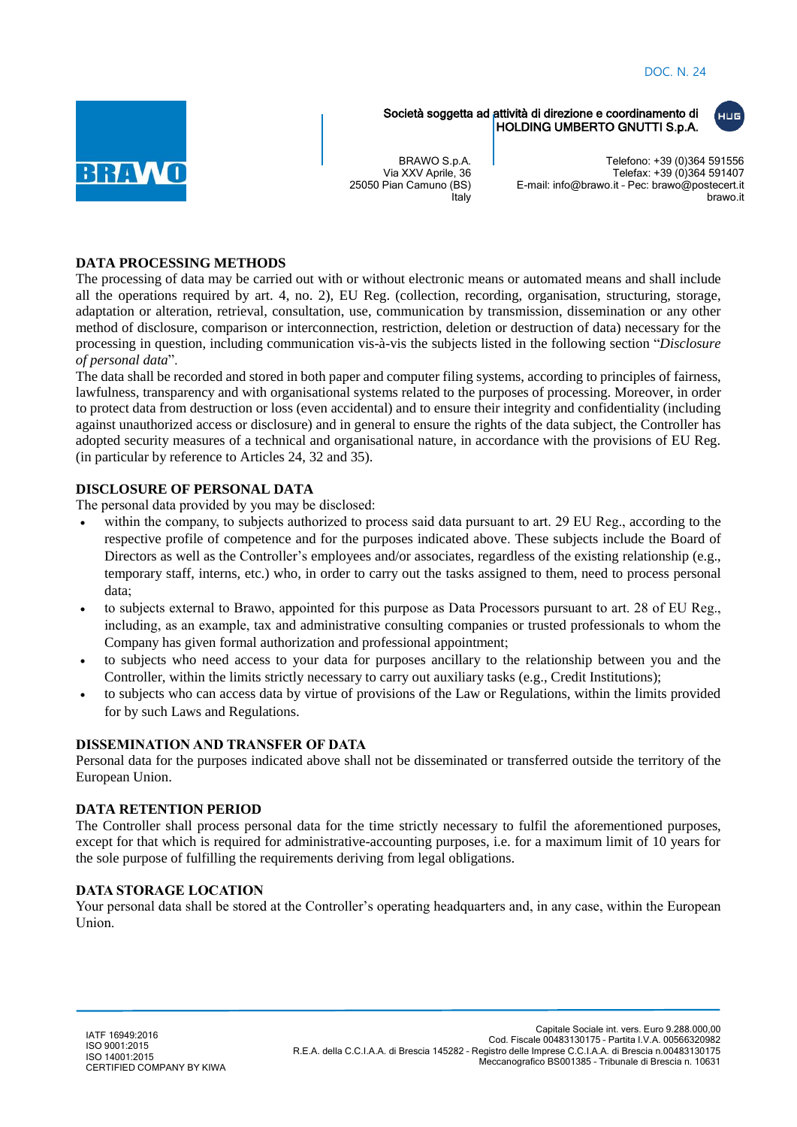luus.



Società soggetta ad attività di direzione e coordinamento di HOLDING UMBERTO GNUTTI S.p.A.

BRAWO S.p.A. Via XXV Aprile, 36 25050 Pian Camuno (BS) **Italy** 

Telefono: +39 (0)364 591556 Telefax: +39 (0)364 591407 E-mail: info@brawo.it – Pec: brawo@postecert.it brawo.it

## **DATA PROCESSING METHODS**

The processing of data may be carried out with or without electronic means or automated means and shall include all the operations required by art. 4, no. 2), EU Reg. (collection, recording, organisation, structuring, storage, adaptation or alteration, retrieval, consultation, use, communication by transmission, dissemination or any other method of disclosure, comparison or interconnection, restriction, deletion or destruction of data) necessary for the processing in question, including communication vis-à-vis the subjects listed in the following section "*Disclosure of personal data*".

The data shall be recorded and stored in both paper and computer filing systems, according to principles of fairness, lawfulness, transparency and with organisational systems related to the purposes of processing. Moreover, in order to protect data from destruction or loss (even accidental) and to ensure their integrity and confidentiality (including against unauthorized access or disclosure) and in general to ensure the rights of the data subject, the Controller has adopted security measures of a technical and organisational nature, in accordance with the provisions of EU Reg. (in particular by reference to Articles 24, 32 and 35).

## **DISCLOSURE OF PERSONAL DATA**

The personal data provided by you may be disclosed:

- within the company, to subjects authorized to process said data pursuant to art. 29 EU Reg., according to the respective profile of competence and for the purposes indicated above. These subjects include the Board of Directors as well as the Controller's employees and/or associates, regardless of the existing relationship (e.g., temporary staff, interns, etc.) who, in order to carry out the tasks assigned to them, need to process personal data;
- to subjects external to Brawo, appointed for this purpose as Data Processors pursuant to art. 28 of EU Reg., including, as an example, tax and administrative consulting companies or trusted professionals to whom the Company has given formal authorization and professional appointment;
- to subjects who need access to your data for purposes ancillary to the relationship between you and the Controller, within the limits strictly necessary to carry out auxiliary tasks (e.g., Credit Institutions);
- to subjects who can access data by virtue of provisions of the Law or Regulations, within the limits provided for by such Laws and Regulations.

#### **DISSEMINATION AND TRANSFER OF DATA**

Personal data for the purposes indicated above shall not be disseminated or transferred outside the territory of the European Union.

#### **DATA RETENTION PERIOD**

The Controller shall process personal data for the time strictly necessary to fulfil the aforementioned purposes, except for that which is required for administrative-accounting purposes, i.e. for a maximum limit of 10 years for the sole purpose of fulfilling the requirements deriving from legal obligations.

#### **DATA STORAGE LOCATION**

Your personal data shall be stored at the Controller's operating headquarters and, in any case, within the European Union.